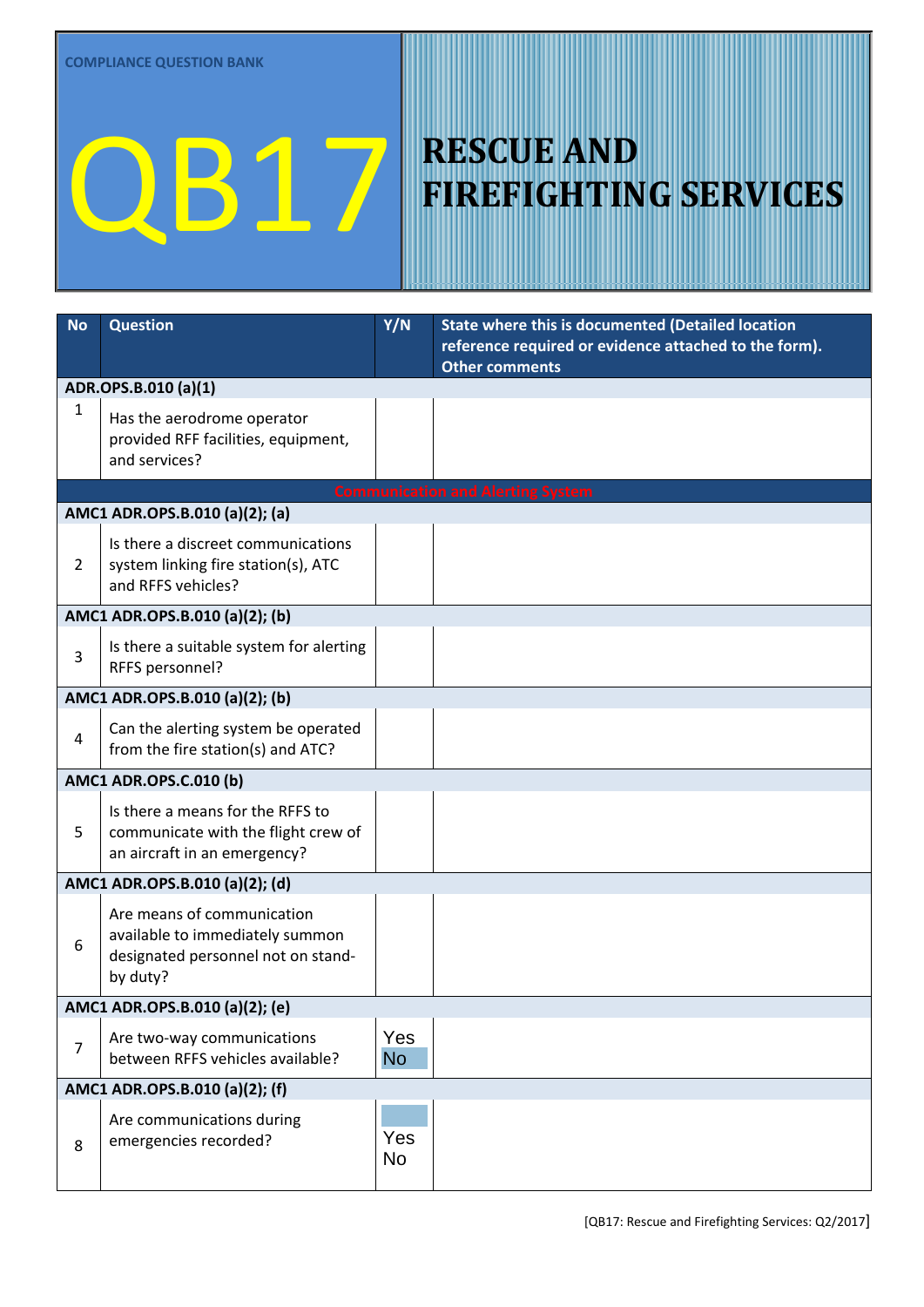| <b>No</b>      | <b>Question</b>                                                                                                 | Y/N              | State where this is documented (Detailed location<br>reference required or evidence attached to the form).<br><b>Other comments</b> |
|----------------|-----------------------------------------------------------------------------------------------------------------|------------------|-------------------------------------------------------------------------------------------------------------------------------------|
|                | ADR.OPS.B.010 (a)(1)                                                                                            |                  |                                                                                                                                     |
| 1              | Has the aerodrome operator<br>provided RFF facilities, equipment,<br>and services?                              | Yes<br>No        |                                                                                                                                     |
|                |                                                                                                                 |                  | <b>Communication and Alerting System</b>                                                                                            |
|                | AMC1 ADR.OPS.B.010 (a)(2); (a)                                                                                  |                  |                                                                                                                                     |
| $\overline{2}$ | Is there a discreet communications<br>system linking fire station(s), ATC<br>and RFFS vehicles?                 | Yes<br><b>No</b> |                                                                                                                                     |
|                | AMC1 ADR.OPS.B.010 (a)(2); (b)                                                                                  |                  |                                                                                                                                     |
| 3              | Is there a suitable system for alerting<br>RFFS personnel?                                                      | Yes<br><b>No</b> |                                                                                                                                     |
|                | AMC1 ADR.OPS.B.010 (a)(2); (b)                                                                                  |                  |                                                                                                                                     |
| 4              | Can the alerting system be operated<br>from the fire station(s) and ATC?                                        | Yes<br><b>No</b> |                                                                                                                                     |
|                | AMC1 ADR.OPS.C.010 (b)                                                                                          |                  |                                                                                                                                     |
| 5              | Is there a means for the RFFS to<br>communicate with the flight crew of<br>an aircraft in an emergency?         | Yes<br>No.       |                                                                                                                                     |
|                | AMC1 ADR.OPS.B.010 (a)(2); (d)                                                                                  |                  |                                                                                                                                     |
| 6              | Are means of communication<br>available to immediately summon<br>designated personnel not on stand-<br>by duty? | Yes<br><b>No</b> |                                                                                                                                     |
|                | AMC1 ADR.OPS.B.010 (a)(2); (e)                                                                                  |                  |                                                                                                                                     |
| $\overline{7}$ | Are two-way communications<br>between RFFS vehicles available?                                                  | Yes<br><b>No</b> |                                                                                                                                     |
|                | AMC1 ADR.OPS.B.010 (a)(2); (f)                                                                                  |                  |                                                                                                                                     |
| 8              | Are communications during<br>emergencies recorded?                                                              | Yes<br>No        |                                                                                                                                     |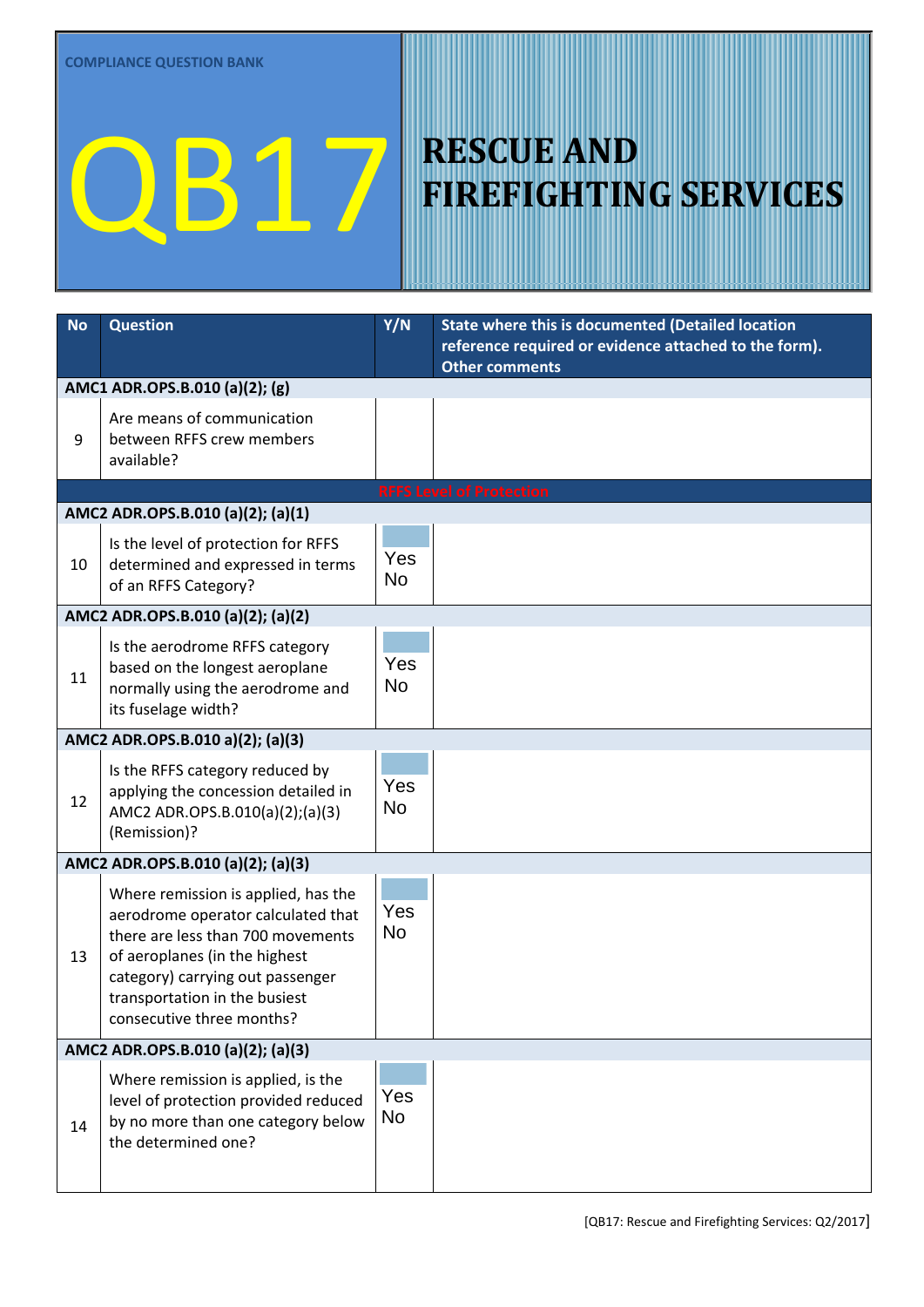| <b>No</b>                         | <b>Question</b>                                                                                                                                                                                                                                   | Y/N              | State where this is documented (Detailed location<br>reference required or evidence attached to the form).<br><b>Other comments</b> |  |  |
|-----------------------------------|---------------------------------------------------------------------------------------------------------------------------------------------------------------------------------------------------------------------------------------------------|------------------|-------------------------------------------------------------------------------------------------------------------------------------|--|--|
|                                   | AMC1 ADR.OPS.B.010 (a)(2); (g)                                                                                                                                                                                                                    |                  |                                                                                                                                     |  |  |
| 9                                 | Are means of communication<br>between RFFS crew members<br>available?                                                                                                                                                                             | Yes<br><b>No</b> |                                                                                                                                     |  |  |
|                                   |                                                                                                                                                                                                                                                   |                  | <b>RFFS Level of Protection</b>                                                                                                     |  |  |
|                                   | AMC2 ADR.OPS.B.010 (a)(2); (a)(1)                                                                                                                                                                                                                 |                  |                                                                                                                                     |  |  |
| 10                                | Is the level of protection for RFFS<br>determined and expressed in terms<br>of an RFFS Category?                                                                                                                                                  | Yes<br><b>No</b> |                                                                                                                                     |  |  |
|                                   | AMC2 ADR.OPS.B.010 (a)(2); (a)(2)                                                                                                                                                                                                                 |                  |                                                                                                                                     |  |  |
| 11                                | Is the aerodrome RFFS category<br>based on the longest aeroplane<br>normally using the aerodrome and<br>its fuselage width?                                                                                                                       | Yes<br><b>No</b> |                                                                                                                                     |  |  |
|                                   | AMC2 ADR.OPS.B.010 a)(2); (a)(3)                                                                                                                                                                                                                  |                  |                                                                                                                                     |  |  |
| 12                                | Is the RFFS category reduced by<br>applying the concession detailed in<br>AMC2 ADR.OPS.B.010(a)(2);(a)(3)<br>(Remission)?                                                                                                                         | Yes<br><b>No</b> |                                                                                                                                     |  |  |
|                                   | AMC2 ADR.OPS.B.010 (a)(2); (a)(3)                                                                                                                                                                                                                 |                  |                                                                                                                                     |  |  |
| 13                                | Where remission is applied, has the<br>aerodrome operator calculated that<br>there are less than 700 movements<br>of aeroplanes (in the highest<br>category) carrying out passenger<br>transportation in the busiest<br>consecutive three months? | Yes<br><b>No</b> |                                                                                                                                     |  |  |
| AMC2 ADR.OPS.B.010 (a)(2); (a)(3) |                                                                                                                                                                                                                                                   |                  |                                                                                                                                     |  |  |
| 14                                | Where remission is applied, is the<br>level of protection provided reduced<br>by no more than one category below<br>the determined one?                                                                                                           | Yes<br><b>No</b> |                                                                                                                                     |  |  |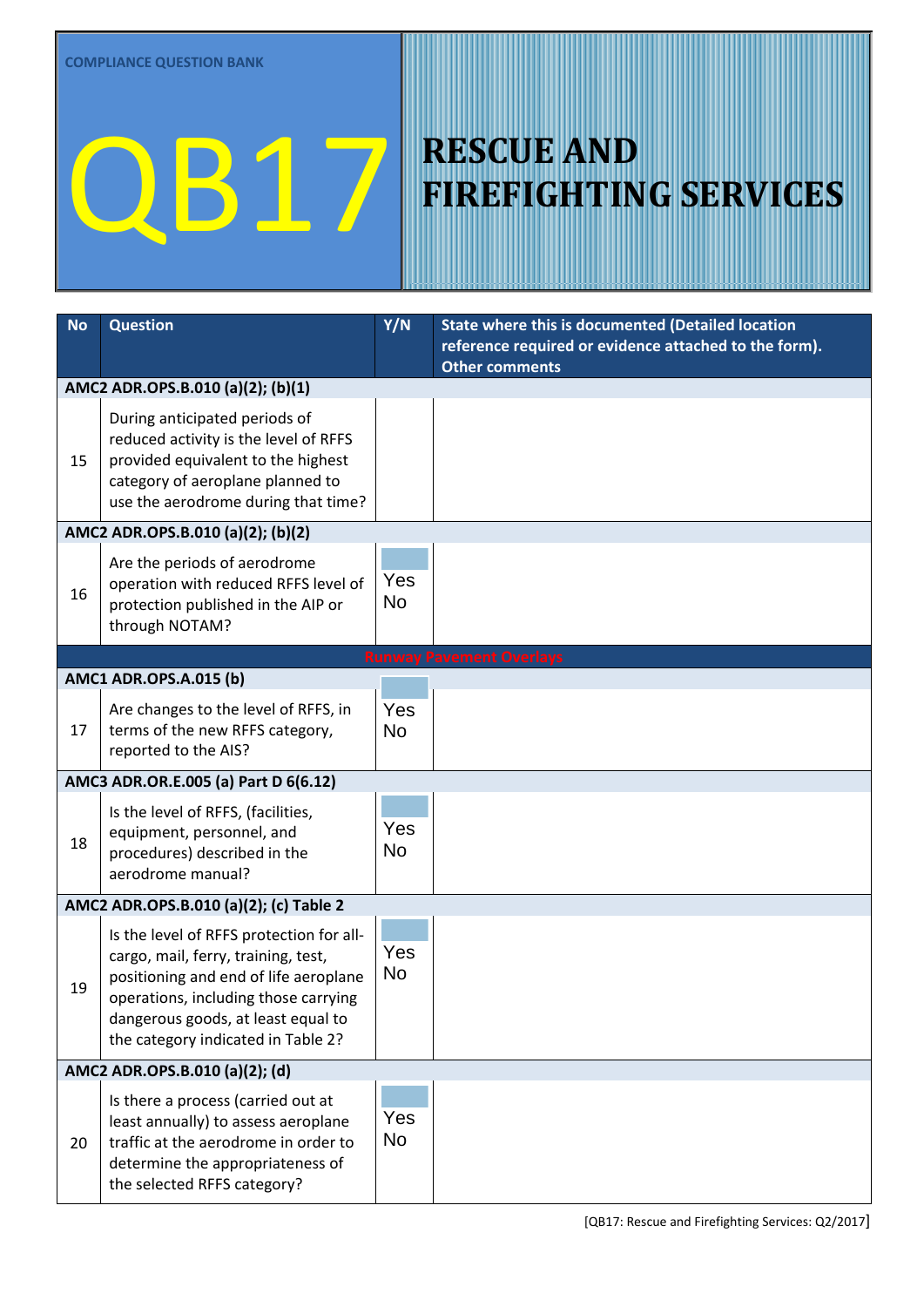| <b>No</b> | <b>Question</b>                                                               | Y/N              | State where this is documented (Detailed location                              |
|-----------|-------------------------------------------------------------------------------|------------------|--------------------------------------------------------------------------------|
|           |                                                                               |                  | reference required or evidence attached to the form).<br><b>Other comments</b> |
|           | AMC2 ADR.OPS.B.010 (a)(2); (b)(1)                                             |                  |                                                                                |
|           | During anticipated periods of                                                 |                  |                                                                                |
|           | reduced activity is the level of RFFS                                         | Yes              |                                                                                |
| 15        | provided equivalent to the highest<br>category of aeroplane planned to        | <b>No</b>        |                                                                                |
|           | use the aerodrome during that time?                                           |                  |                                                                                |
|           | AMC2 ADR.OPS.B.010 (a)(2); (b)(2)                                             |                  |                                                                                |
|           | Are the periods of aerodrome                                                  |                  |                                                                                |
| 16        | operation with reduced RFFS level of                                          | Yes              |                                                                                |
|           | protection published in the AIP or<br>through NOTAM?                          | <b>No</b>        |                                                                                |
|           |                                                                               |                  | <b>Runway Pavement Overlays</b>                                                |
|           | <b>AMC1 ADR.OPS.A.015 (b)</b>                                                 |                  |                                                                                |
|           | Are changes to the level of RFFS, in                                          | Yes              |                                                                                |
| 17        | terms of the new RFFS category,                                               | <b>No</b>        |                                                                                |
|           | reported to the AIS?                                                          |                  |                                                                                |
|           | AMC3 ADR.OR.E.005 (a) Part D 6(6.12)                                          |                  |                                                                                |
|           | Is the level of RFFS, (facilities,                                            | Yes              |                                                                                |
| 18        | equipment, personnel, and<br>procedures) described in the                     | <b>No</b>        |                                                                                |
|           | aerodrome manual?                                                             |                  |                                                                                |
|           | AMC2 ADR.OPS.B.010 (a)(2); (c) Table 2                                        |                  |                                                                                |
|           | Is the level of RFFS protection for all-                                      |                  |                                                                                |
|           | cargo, mail, ferry, training, test,                                           | Yes<br><b>No</b> |                                                                                |
| 19        | positioning and end of life aeroplane<br>operations, including those carrying |                  |                                                                                |
|           | dangerous goods, at least equal to                                            |                  |                                                                                |
|           | the category indicated in Table 2?                                            |                  |                                                                                |
|           | AMC2 ADR.OPS.B.010 (a)(2); (d)                                                |                  |                                                                                |
|           | Is there a process (carried out at                                            |                  |                                                                                |
| 20        | least annually) to assess aeroplane<br>traffic at the aerodrome in order to   | Yes<br><b>No</b> |                                                                                |
|           | determine the appropriateness of                                              |                  |                                                                                |
|           | the selected RFFS category?                                                   |                  |                                                                                |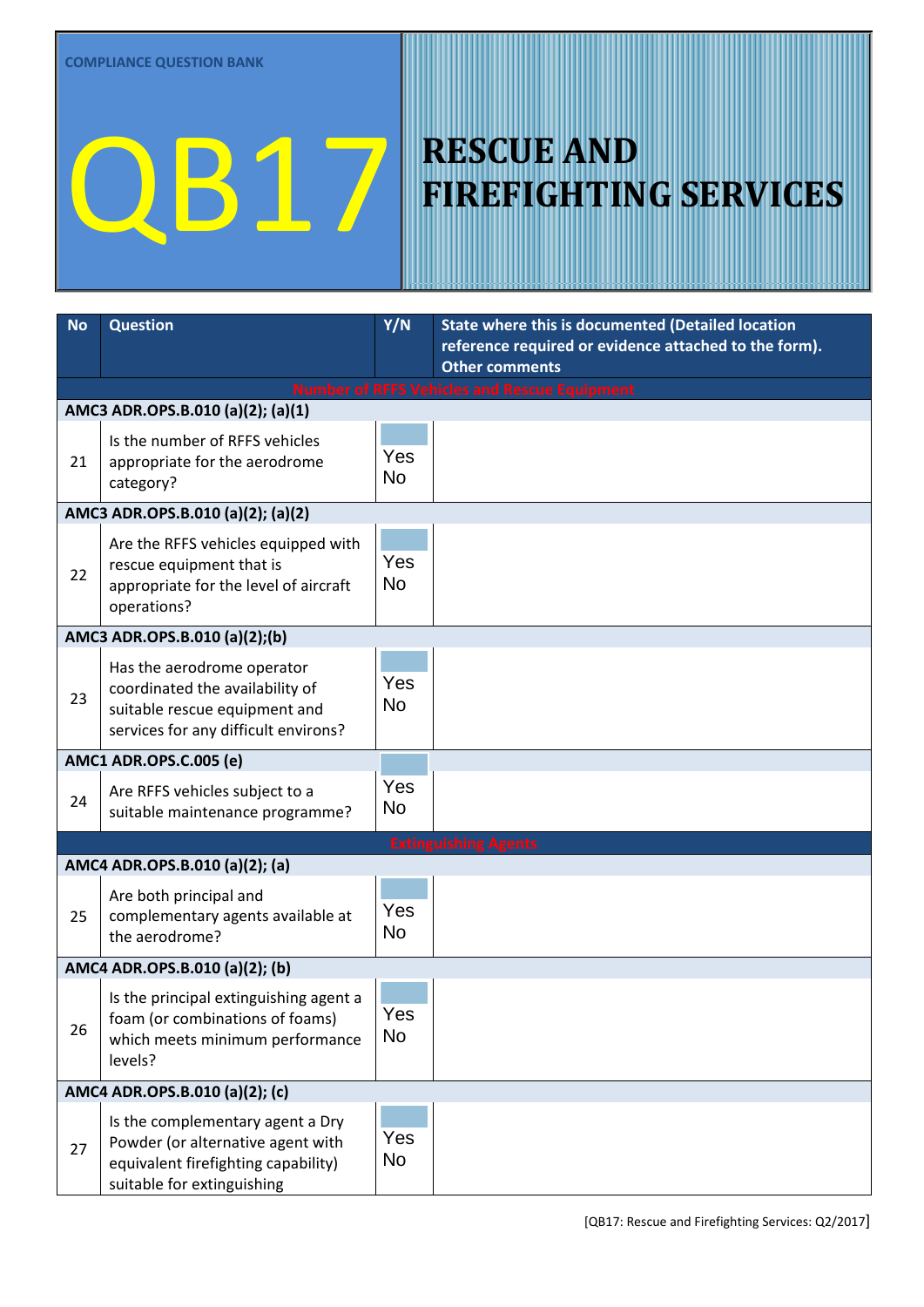| <b>No</b> | <b>Question</b>                                                                                                                            | $\overline{Y/N}$ | State where this is documented (Detailed location<br>reference required or evidence attached to the form).<br><b>Other comments</b> |
|-----------|--------------------------------------------------------------------------------------------------------------------------------------------|------------------|-------------------------------------------------------------------------------------------------------------------------------------|
|           |                                                                                                                                            |                  | <b>Number of RFFS Vehicles and Rescue Equipment</b>                                                                                 |
|           | AMC3 ADR.OPS.B.010 (a)(2); (a)(1)                                                                                                          |                  |                                                                                                                                     |
| 21        | Is the number of RFFS vehicles<br>appropriate for the aerodrome<br>category?                                                               | Yes<br><b>No</b> |                                                                                                                                     |
|           | AMC3 ADR.OPS.B.010 (a)(2); (a)(2)                                                                                                          |                  |                                                                                                                                     |
| 22        | Are the RFFS vehicles equipped with<br>rescue equipment that is<br>appropriate for the level of aircraft<br>operations?                    | Yes<br><b>No</b> |                                                                                                                                     |
|           | AMC3 ADR.OPS.B.010 (a)(2);(b)                                                                                                              |                  |                                                                                                                                     |
| 23        | Has the aerodrome operator<br>coordinated the availability of<br>suitable rescue equipment and<br>services for any difficult environs?     | Yes<br><b>No</b> |                                                                                                                                     |
|           | <b>AMC1 ADR.OPS.C.005 (e)</b>                                                                                                              |                  |                                                                                                                                     |
| 24        | Are RFFS vehicles subject to a<br>suitable maintenance programme?                                                                          | Yes<br><b>No</b> |                                                                                                                                     |
|           |                                                                                                                                            |                  | <b>Extinguishing Agents</b>                                                                                                         |
|           | AMC4 ADR.OPS.B.010 (a)(2); (a)                                                                                                             |                  |                                                                                                                                     |
| 25        | Are both principal and<br>complementary agents available at<br>the aerodrome?                                                              | Yes<br><b>No</b> |                                                                                                                                     |
|           | AMC4 ADR.OPS.B.010 (a)(2); (b)                                                                                                             |                  |                                                                                                                                     |
| 26        | Is the principal extinguishing agent a<br>foam (or combinations of foams)<br>which meets minimum performance<br>levels?                    | Yes<br><b>No</b> |                                                                                                                                     |
|           | AMC4 ADR.OPS.B.010 (a)(2); (c)                                                                                                             |                  |                                                                                                                                     |
| 27        | Is the complementary agent a Dry<br>Powder (or alternative agent with<br>equivalent firefighting capability)<br>suitable for extinguishing | Yes<br><b>No</b> |                                                                                                                                     |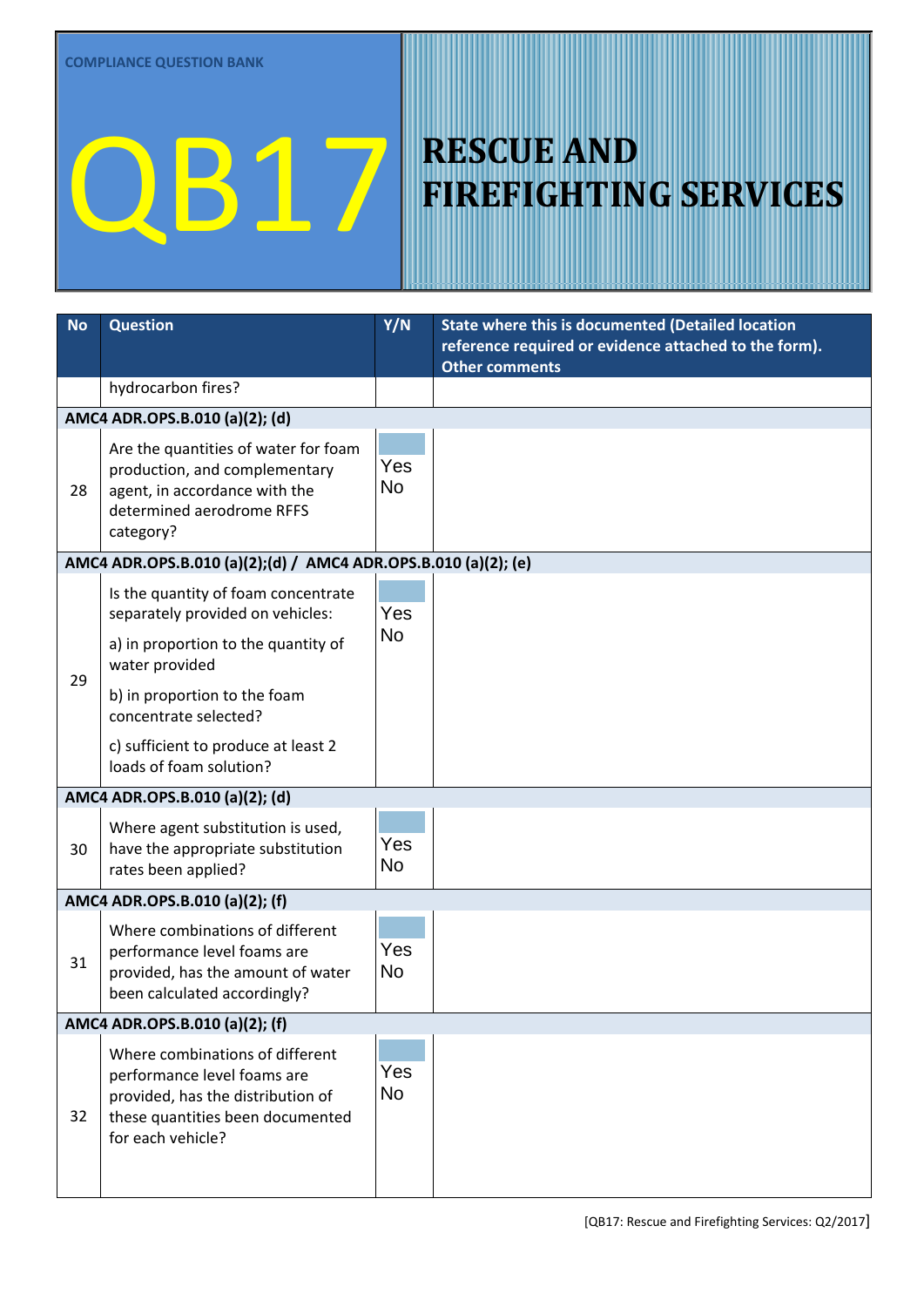| <b>No</b> | <b>Question</b>                                                                                                                                              | Y/N              | State where this is documented (Detailed location<br>reference required or evidence attached to the form).<br><b>Other comments</b> |  |  |
|-----------|--------------------------------------------------------------------------------------------------------------------------------------------------------------|------------------|-------------------------------------------------------------------------------------------------------------------------------------|--|--|
|           | hydrocarbon fires?                                                                                                                                           |                  |                                                                                                                                     |  |  |
|           | AMC4 ADR.OPS.B.010 (a)(2); (d)                                                                                                                               |                  |                                                                                                                                     |  |  |
| 28        | Are the quantities of water for foam<br>production, and complementary<br>agent, in accordance with the<br>determined aerodrome RFFS<br>category?             | Yes<br><b>No</b> |                                                                                                                                     |  |  |
|           | AMC4 ADR.OPS.B.010 (a)(2);(d) / AMC4 ADR.OPS.B.010 (a)(2); (e)                                                                                               |                  |                                                                                                                                     |  |  |
|           | Is the quantity of foam concentrate<br>separately provided on vehicles:                                                                                      | Yes              |                                                                                                                                     |  |  |
|           | a) in proportion to the quantity of<br>water provided                                                                                                        | <b>No</b>        |                                                                                                                                     |  |  |
| 29        | b) in proportion to the foam<br>concentrate selected?                                                                                                        |                  |                                                                                                                                     |  |  |
|           | c) sufficient to produce at least 2<br>loads of foam solution?                                                                                               |                  |                                                                                                                                     |  |  |
|           | AMC4 ADR.OPS.B.010 (a)(2); (d)                                                                                                                               |                  |                                                                                                                                     |  |  |
| 30        | Where agent substitution is used,<br>have the appropriate substitution<br>rates been applied?                                                                | Yes<br><b>No</b> |                                                                                                                                     |  |  |
|           | AMC4 ADR.OPS.B.010 (a)(2); (f)                                                                                                                               |                  |                                                                                                                                     |  |  |
| 31        | Where combinations of different<br>performance level foams are<br>provided, has the amount of water<br>been calculated accordingly?                          | Yes<br><b>No</b> |                                                                                                                                     |  |  |
|           | AMC4 ADR.OPS.B.010 (a)(2); (f)                                                                                                                               |                  |                                                                                                                                     |  |  |
| 32        | Where combinations of different<br>performance level foams are<br>provided, has the distribution of<br>these quantities been documented<br>for each vehicle? | Yes<br><b>No</b> |                                                                                                                                     |  |  |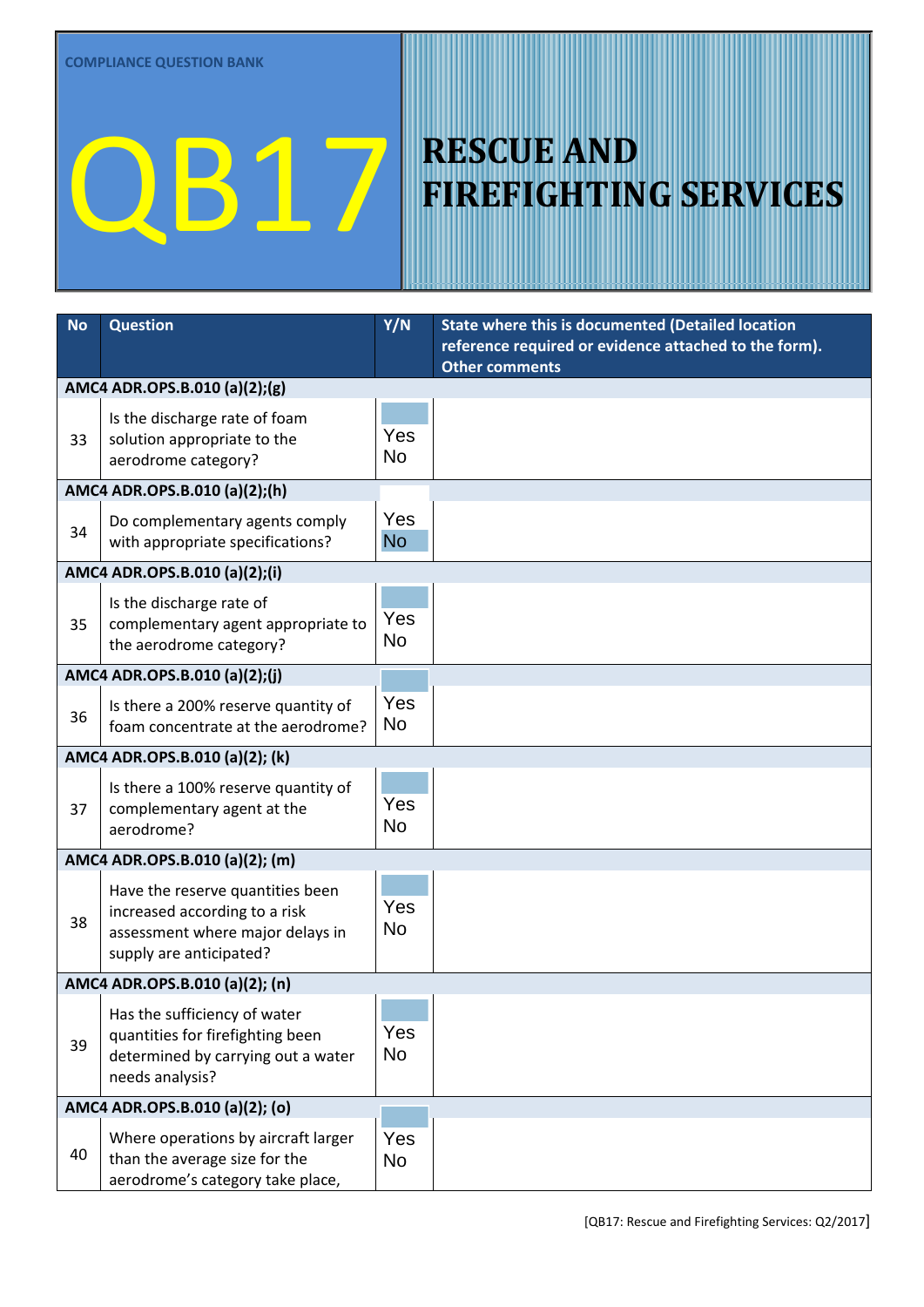| <b>No</b> | <b>Question</b>                                                        | Y/N              | State where this is documented (Detailed location                              |
|-----------|------------------------------------------------------------------------|------------------|--------------------------------------------------------------------------------|
|           |                                                                        |                  | reference required or evidence attached to the form).<br><b>Other comments</b> |
|           | AMC4 ADR.OPS.B.010 (a)(2);(g)                                          |                  |                                                                                |
|           | Is the discharge rate of foam                                          |                  |                                                                                |
| 33        | solution appropriate to the                                            | Yes              |                                                                                |
|           | aerodrome category?                                                    | <b>No</b>        |                                                                                |
|           | AMC4 ADR.OPS.B.010 (a)(2);(h)                                          |                  |                                                                                |
| 34        | Do complementary agents comply                                         | Yes              |                                                                                |
|           | with appropriate specifications?                                       | <b>No</b>        |                                                                                |
|           | AMC4 ADR.OPS.B.010 (a)(2);(i)                                          |                  |                                                                                |
|           | Is the discharge rate of                                               |                  |                                                                                |
| 35        | complementary agent appropriate to                                     | Yes              |                                                                                |
|           | the aerodrome category?                                                | <b>No</b>        |                                                                                |
|           | AMC4 ADR.OPS.B.010 (a)(2);(j)                                          |                  |                                                                                |
| 36        | Is there a 200% reserve quantity of                                    | Yes              |                                                                                |
|           | foam concentrate at the aerodrome?                                     | <b>No</b>        |                                                                                |
|           | AMC4 ADR.OPS.B.010 (a)(2); (k)                                         |                  |                                                                                |
|           | Is there a 100% reserve quantity of                                    |                  |                                                                                |
| 37        | complementary agent at the                                             | Yes              |                                                                                |
|           | aerodrome?                                                             | <b>No</b>        |                                                                                |
|           | AMC4 ADR.OPS.B.010 (a)(2); (m)                                         |                  |                                                                                |
|           | Have the reserve quantities been                                       |                  |                                                                                |
| 38        | increased according to a risk                                          | Yes<br><b>No</b> |                                                                                |
|           | assessment where major delays in<br>supply are anticipated?            |                  |                                                                                |
|           |                                                                        |                  |                                                                                |
|           | AMC4 ADR.OPS.B.010 (a)(2); (n)                                         |                  |                                                                                |
|           | Has the sufficiency of water                                           | Yes              |                                                                                |
| 39        | quantities for firefighting been<br>determined by carrying out a water | <b>No</b>        |                                                                                |
|           | needs analysis?                                                        |                  |                                                                                |
|           | AMC4 ADR.OPS.B.010 (a)(2); (o)                                         |                  |                                                                                |
|           | Where operations by aircraft larger                                    | Yes              |                                                                                |
| 40        | than the average size for the                                          | <b>No</b>        |                                                                                |
|           | aerodrome's category take place,                                       |                  |                                                                                |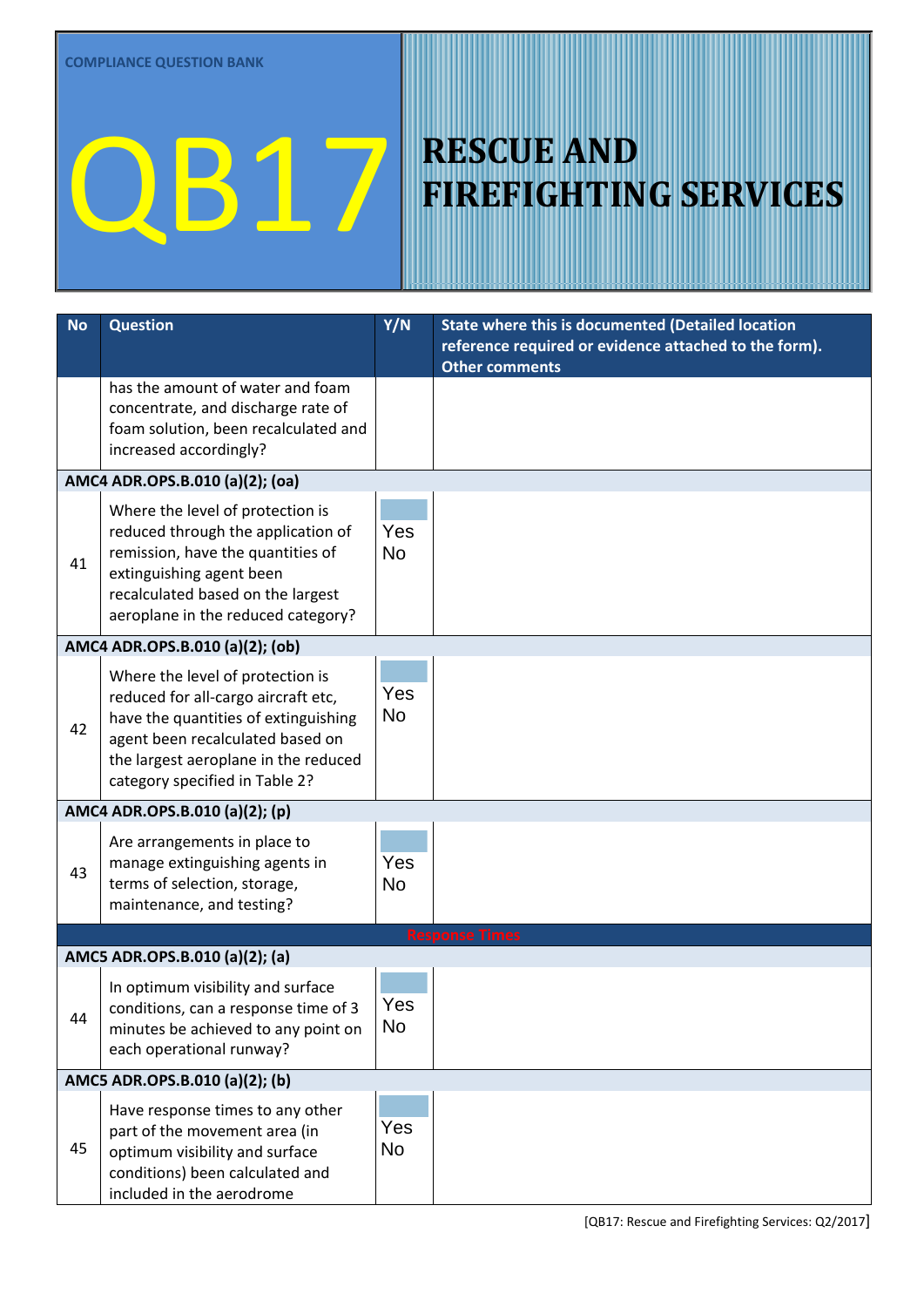| <b>No</b> | <b>Question</b>                                                                                                                                                                                                               | Y/N              | State where this is documented (Detailed location<br>reference required or evidence attached to the form).<br><b>Other comments</b> |
|-----------|-------------------------------------------------------------------------------------------------------------------------------------------------------------------------------------------------------------------------------|------------------|-------------------------------------------------------------------------------------------------------------------------------------|
|           | has the amount of water and foam<br>concentrate, and discharge rate of<br>foam solution, been recalculated and<br>increased accordingly?                                                                                      |                  |                                                                                                                                     |
|           | AMC4 ADR.OPS.B.010 (a)(2); (oa)                                                                                                                                                                                               |                  |                                                                                                                                     |
| 41        | Where the level of protection is<br>reduced through the application of<br>remission, have the quantities of<br>extinguishing agent been<br>recalculated based on the largest<br>aeroplane in the reduced category?            | Yes<br><b>No</b> |                                                                                                                                     |
|           | AMC4 ADR.OPS.B.010 (a)(2); (ob)                                                                                                                                                                                               |                  |                                                                                                                                     |
| 42        | Where the level of protection is<br>reduced for all-cargo aircraft etc,<br>have the quantities of extinguishing<br>agent been recalculated based on<br>the largest aeroplane in the reduced<br>category specified in Table 2? | Yes<br><b>No</b> |                                                                                                                                     |
|           | AMC4 ADR.OPS.B.010 (a)(2); (p)                                                                                                                                                                                                |                  |                                                                                                                                     |
| 43        | Are arrangements in place to<br>manage extinguishing agents in<br>terms of selection, storage,<br>maintenance, and testing?                                                                                                   | Yes<br><b>No</b> |                                                                                                                                     |
|           |                                                                                                                                                                                                                               |                  | <b>Response Times</b>                                                                                                               |
|           | AMC5 ADR.OPS.B.010 (a)(2); (a)                                                                                                                                                                                                |                  |                                                                                                                                     |
| 44        | In optimum visibility and surface<br>conditions, can a response time of 3<br>minutes be achieved to any point on<br>each operational runway?                                                                                  | Yes<br>No        |                                                                                                                                     |
|           | AMC5 ADR.OPS.B.010 (a)(2); (b)                                                                                                                                                                                                |                  |                                                                                                                                     |
| 45        | Have response times to any other<br>part of the movement area (in<br>optimum visibility and surface<br>conditions) been calculated and<br>included in the aerodrome                                                           | Yes<br><b>No</b> |                                                                                                                                     |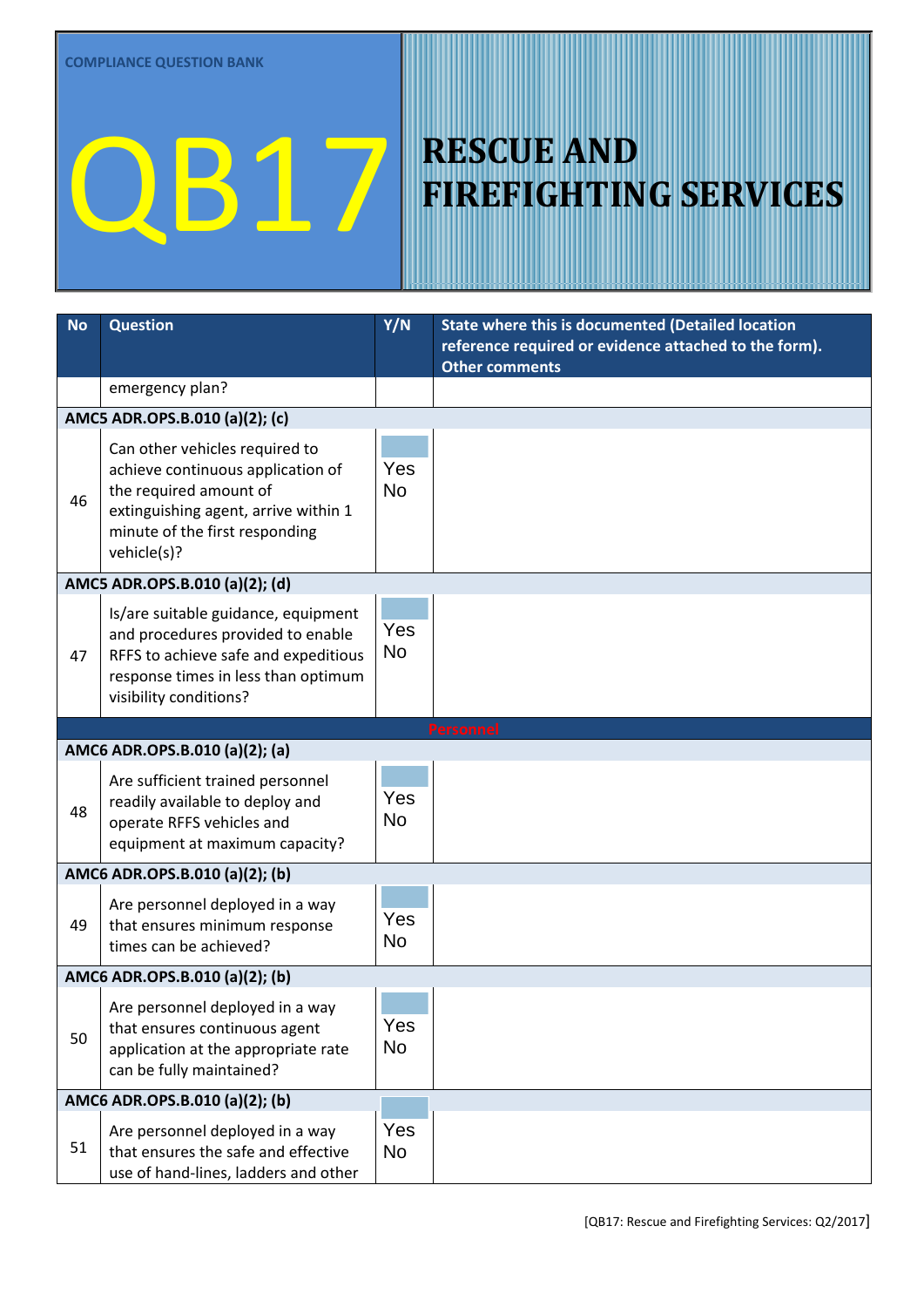| <b>No</b> | <b>Question</b>                                                                                                                                                                        | Y/N              | <b>State where this is documented (Detailed location</b>                       |  |  |
|-----------|----------------------------------------------------------------------------------------------------------------------------------------------------------------------------------------|------------------|--------------------------------------------------------------------------------|--|--|
|           |                                                                                                                                                                                        |                  | reference required or evidence attached to the form).<br><b>Other comments</b> |  |  |
|           | emergency plan?                                                                                                                                                                        |                  |                                                                                |  |  |
|           | AMC5 ADR.OPS.B.010 (a)(2); (c)                                                                                                                                                         |                  |                                                                                |  |  |
| 46        | Can other vehicles required to<br>achieve continuous application of<br>the required amount of<br>extinguishing agent, arrive within 1<br>minute of the first responding<br>vehicle(s)? | Yes<br><b>No</b> |                                                                                |  |  |
|           | AMC5 ADR.OPS.B.010 (a)(2); (d)                                                                                                                                                         |                  |                                                                                |  |  |
| 47        | Is/are suitable guidance, equipment<br>and procedures provided to enable<br>RFFS to achieve safe and expeditious<br>response times in less than optimum<br>visibility conditions?      | Yes<br>No        |                                                                                |  |  |
|           |                                                                                                                                                                                        |                  | <b>Personnel</b>                                                               |  |  |
|           | AMC6 ADR.OPS.B.010 (a)(2); (a)                                                                                                                                                         |                  |                                                                                |  |  |
| 48        | Are sufficient trained personnel<br>readily available to deploy and<br>operate RFFS vehicles and<br>equipment at maximum capacity?                                                     | Yes<br><b>No</b> |                                                                                |  |  |
|           | AMC6 ADR.OPS.B.010 (a)(2); (b)                                                                                                                                                         |                  |                                                                                |  |  |
| 49        | Are personnel deployed in a way<br>that ensures minimum response<br>times can be achieved?                                                                                             | Yes<br>No        |                                                                                |  |  |
|           | AMC6 ADR.OPS.B.010 (a)(2); (b)                                                                                                                                                         |                  |                                                                                |  |  |
| 50        | Are personnel deployed in a way<br>that ensures continuous agent<br>application at the appropriate rate<br>can be fully maintained?                                                    | Yes<br>No        |                                                                                |  |  |
|           | AMC6 ADR.OPS.B.010 (a)(2); (b)                                                                                                                                                         |                  |                                                                                |  |  |
| 51        | Are personnel deployed in a way<br>that ensures the safe and effective<br>use of hand-lines, ladders and other                                                                         | Yes<br><b>No</b> |                                                                                |  |  |